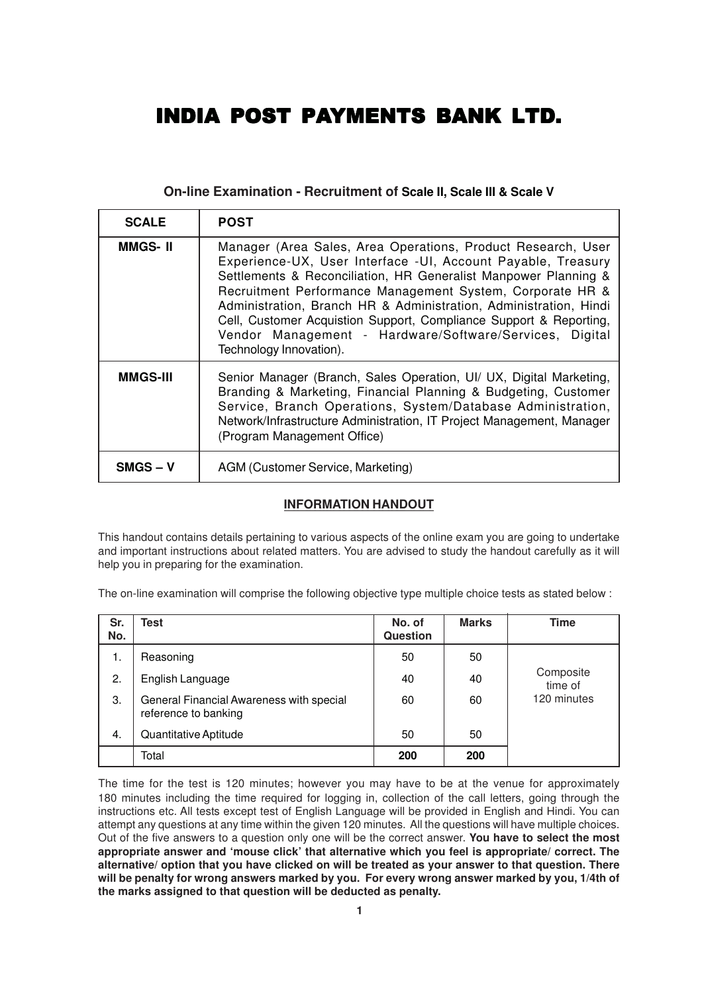# INDIA POST PAYMENTS BANK LTD.

# **On-line Examination - Recruitment of Scale II, Scale III & Scale V**

| <b>SCALE</b>    | <b>POST</b>                                                                                                                                                                                                                                                                                                                                                                                                                                                                                   |
|-----------------|-----------------------------------------------------------------------------------------------------------------------------------------------------------------------------------------------------------------------------------------------------------------------------------------------------------------------------------------------------------------------------------------------------------------------------------------------------------------------------------------------|
| <b>MMGS-II</b>  | Manager (Area Sales, Area Operations, Product Research, User<br>Experience-UX, User Interface -UI, Account Payable, Treasury<br>Settlements & Reconciliation, HR Generalist Manpower Planning &<br>Recruitment Performance Management System, Corporate HR &<br>Administration, Branch HR & Administration, Administration, Hindi<br>Cell, Customer Acquistion Support, Compliance Support & Reporting,<br>Vendor Management - Hardware/Software/Services, Digital<br>Technology Innovation). |
| <b>MMGS-III</b> | Senior Manager (Branch, Sales Operation, UI/ UX, Digital Marketing,<br>Branding & Marketing, Financial Planning & Budgeting, Customer<br>Service, Branch Operations, System/Database Administration,<br>Network/Infrastructure Administration, IT Project Management, Manager<br>(Program Management Office)                                                                                                                                                                                  |
| <b>SMGS – V</b> | AGM (Customer Service, Marketing)                                                                                                                                                                                                                                                                                                                                                                                                                                                             |

## **INFORMATION HANDOUT**

This handout contains details pertaining to various aspects of the online exam you are going to undertake and important instructions about related matters. You are advised to study the handout carefully as it will help you in preparing for the examination.

The on-line examination will comprise the following objective type multiple choice tests as stated below :

| Sr.<br>No. | Test                                                             | No. of<br><b>Question</b> | <b>Marks</b> | <b>Time</b>          |
|------------|------------------------------------------------------------------|---------------------------|--------------|----------------------|
| 1.         | Reasoning                                                        | 50                        | 50           |                      |
| 2.         | English Language                                                 | 40                        | 40           | Composite<br>time of |
| 3.         | General Financial Awareness with special<br>reference to banking | 60                        | 60           | 120 minutes          |
| 4.         | Quantitative Aptitude                                            | 50                        | 50           |                      |
|            | Total                                                            | 200                       | 200          |                      |

The time for the test is 120 minutes; however you may have to be at the venue for approximately 180 minutes including the time required for logging in, collection of the call letters, going through the instructions etc. All tests except test of English Language will be provided in English and Hindi. You can attempt any questions at any time within the given 120 minutes. All the questions will have multiple choices. Out of the five answers to a question only one will be the correct answer. **You have to select the most appropriate answer and 'mouse click' that alternative which you feel is appropriate/ correct. The alternative/ option that you have clicked on will be treated as your answer to that question. There will be penalty for wrong answers marked by you. For every wrong answer marked by you, 1/4th of the marks assigned to that question will be deducted as penalty.**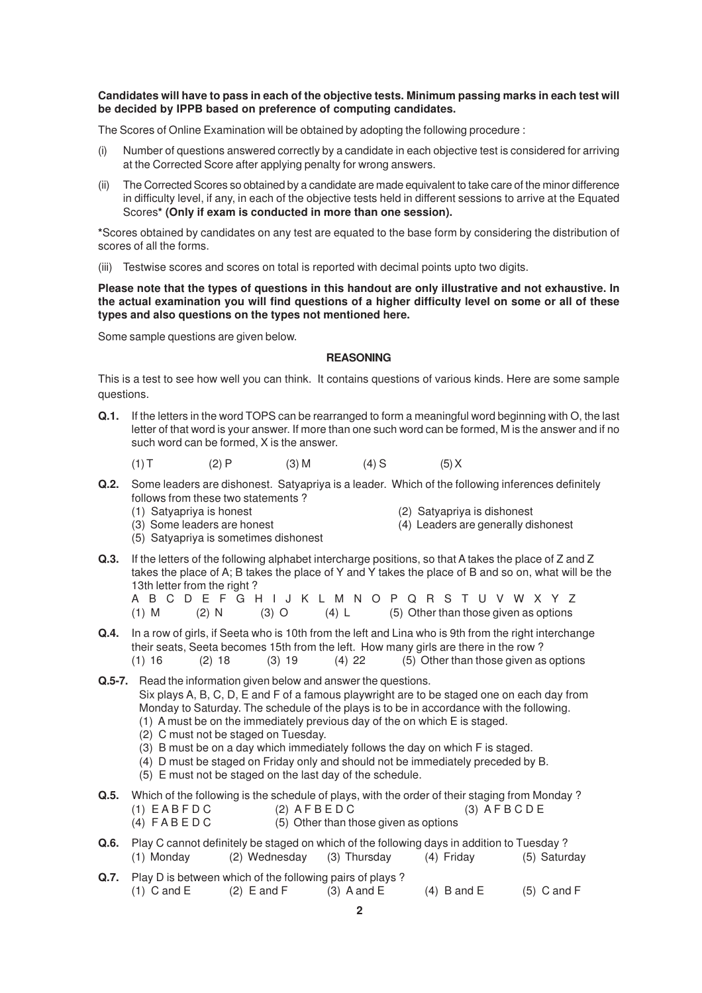## **Candidates will have to pass in each of the objective tests. Minimum passing marks in each test will be decided by IPPB based on preference of computing candidates.**

The Scores of Online Examination will be obtained by adopting the following procedure :

- (i) Number of questions answered correctly by a candidate in each objective test is considered for arriving at the Corrected Score after applying penalty for wrong answers.
- (ii) The Corrected Scores so obtained by a candidate are made equivalent to take care of the minor difference in difficulty level, if any, in each of the objective tests held in different sessions to arrive at the Equated Scores**\* (Only if exam is conducted in more than one session).**

**\***Scores obtained by candidates on any test are equated to the base form by considering the distribution of scores of all the forms.

(iii) Testwise scores and scores on total is reported with decimal points upto two digits.

**Please note that the types of questions in this handout are only illustrative and not exhaustive. In the actual examination you will find questions of a higher difficulty level on some or all of these types and also questions on the types not mentioned here.**

Some sample questions are given below.

## **REASONING**

This is a test to see how well you can think. It contains questions of various kinds. Here are some sample questions.

- **Q.1.** If the letters in the word TOPS can be rearranged to form a meaningful word beginning with O, the last letter of that word is your answer. If more than one such word can be formed, M is the answer and if no such word can be formed, X is the answer.
	- (1) T (2) P (3) M (4) S (5) X
- **Q.2.** Some leaders are dishonest. Satyapriya is a leader. Which of the following inferences definitely follows from these two statements ?<br>(1) Satyapriya is honest
	-

(2) Satyapriya is dishonest

- 
- 
- (3) Some leaders are honest (4) Leaders are generally dishonest
- (5) Satyapriya is sometimes dishonest
- **Q.3.** If the letters of the following alphabet intercharge positions, so that A takes the place of Z and Z takes the place of A; B takes the place of Y and Y takes the place of B and so on, what will be the 13th letter from the right ?
	- A B C D E F G H I J K L M N O P Q R S T U V W X Y Z (1) M (2) N (3) O (4) L (5) Other than those given as options
- **Q.4.** In a row of girls, if Seeta who is 10th from the left and Lina who is 9th from the right interchange their seats, Seeta becomes 15th from the left. How many girls are there in the row ? (1)  $16$  (2)  $18$  (3)  $19$  (4)  $22$  (5) Other than those given as options
- **Q.5-7.** Read the information given below and answer the questions. Six plays A, B, C, D, E and F of a famous playwright are to be staged one on each day from Monday to Saturday. The schedule of the plays is to be in accordance with the following. (1) A must be on the immediately previous day of the on which E is staged.
	- (2) C must not be staged on Tuesday.
	- (3) B must be on a day which immediately follows the day on which F is staged.
	- (4) D must be staged on Friday only and should not be immediately preceded by B.
	- (5) E must not be staged on the last day of the schedule.
- **Q.5.** Which of the following is the schedule of plays, with the order of their staging from Monday ?<br>(1) EABFDC (2) AFBEDC (3) AFBCDE  $(1)$  EABFDC
	- (4)  $F \wedge B \wedge E \wedge C$  (5) Other than those given as options

**Q.6.** Play C cannot definitely be staged on which of the following days in addition to Tuesday ?<br>(1) Monday (2) Wednesday (3) Thursday (4) Friday (5) Sature (1) Monday (2) Wednesday (3) Thursday (4) Friday (5) Saturday **Q.7.** Play D is between which of the following pairs of plays ?

(1) C and E (2) E and F (3) A and E (4) B and E (5) C and F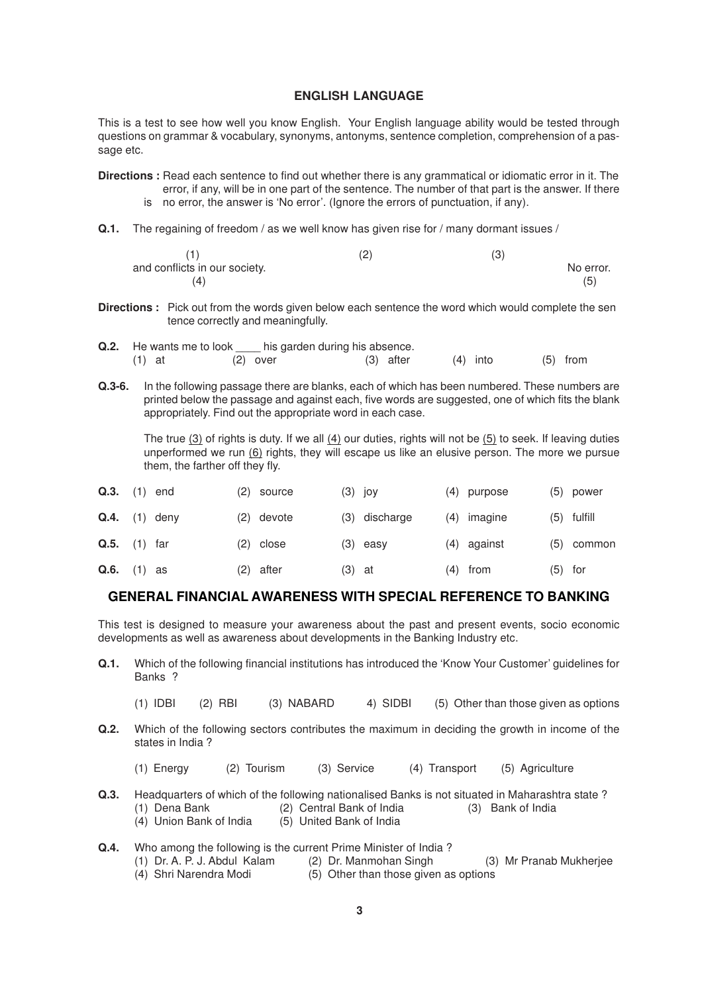## **ENGLISH LANGUAGE**

This is a test to see how well you know English. Your English language ability would be tested through questions on grammar & vocabulary, synonyms, antonyms, sentence completion, comprehension of a passage etc.

- **Directions :** Read each sentence to find out whether there is any grammatical or idiomatic error in it. The error, if any, will be in one part of the sentence. The number of that part is the answer. If there is no error, the answer is 'No error'. (Ignore the errors of punctuation, if any).
- **Q.1.** The regaining of freedom / as we well know has given rise for / many dormant issues /

|                               | (2` | ا ب |           |
|-------------------------------|-----|-----|-----------|
| and conflicts in our society. |     |     | No error. |
| $\mathbf{4}^{\circ}$          |     |     | (5)       |

- **Directions :** Pick out from the words given below each sentence the word which would complete the sen tence correctly and meaningfully.
- **Q.2.** He wants me to look his garden during his absence. (1) at (2) over (3) after (4) into (5) from
- **Q.3-6.** In the following passage there are blanks, each of which has been numbered. These numbers are printed below the passage and against each, five words are suggested, one of which fits the blank appropriately. Find out the appropriate word in each case.

The true (3) of rights is duty. If we all (4) our duties, rights will not be (5) to seek. If leaving duties unperformed we run (6) rights, they will escape us like an elusive person. The more we pursue them, the farther off they fly.

| Q.3.                 | (1) | end |     | (2) source |          | $(3)$ joy  |     | (4) purpose | (5)       | power      |
|----------------------|-----|-----|-----|------------|----------|------------|-----|-------------|-----------|------------|
| $Q.4.$ (1) deny      |     |     |     | (2) devote | (3)      | discharge  | (4) | imagine     | (5)       | fulfill    |
| $Q.5.$ (1) far       |     |     |     | (2) close  |          | $(3)$ easy |     | (4) against |           | (5) common |
| <b>Q.6.</b> $(1)$ as |     |     | (2) | after      | $(3)$ at |            |     | (4) from    | $(5)$ for |            |

## **GENERAL FINANCIAL AWARENESS WITH SPECIAL REFERENCE TO BANKING**

This test is designed to measure your awareness about the past and present events, socio economic developments as well as awareness about developments in the Banking Industry etc.

- **Q.1.** Which of the following financial institutions has introduced the 'Know Your Customer' guidelines for Banks ?
	- (1) IDBI (2) RBI (3) NABARD 4) SIDBI (5) Other than those given as options
- **Q.2.** Which of the following sectors contributes the maximum in deciding the growth in income of the states in India ?
	- (1) Energy (2) Tourism (3) Service (4) Transport (5) Agriculture
- **Q.3.** Headquarters of which of the following nationalised Banks is not situated in Maharashtra state ? (1) Dena Bank (2) Central Bank of India (3) Bank of India
	- $(5)$  United Bank of India
- **Q.4.** Who among the following is the current Prime Minister of India ?<br>(1) Dr. A. P. J. Abdul Kalam (2) Dr. Manmohan Singh
	- (1) Dr. A. P. J. Abdul Kalam (2) Dr. Manmohan Singh (3) Mr Pranab Mukherjee
	- (4) Shri Narendra Modi (5) Other than those given as options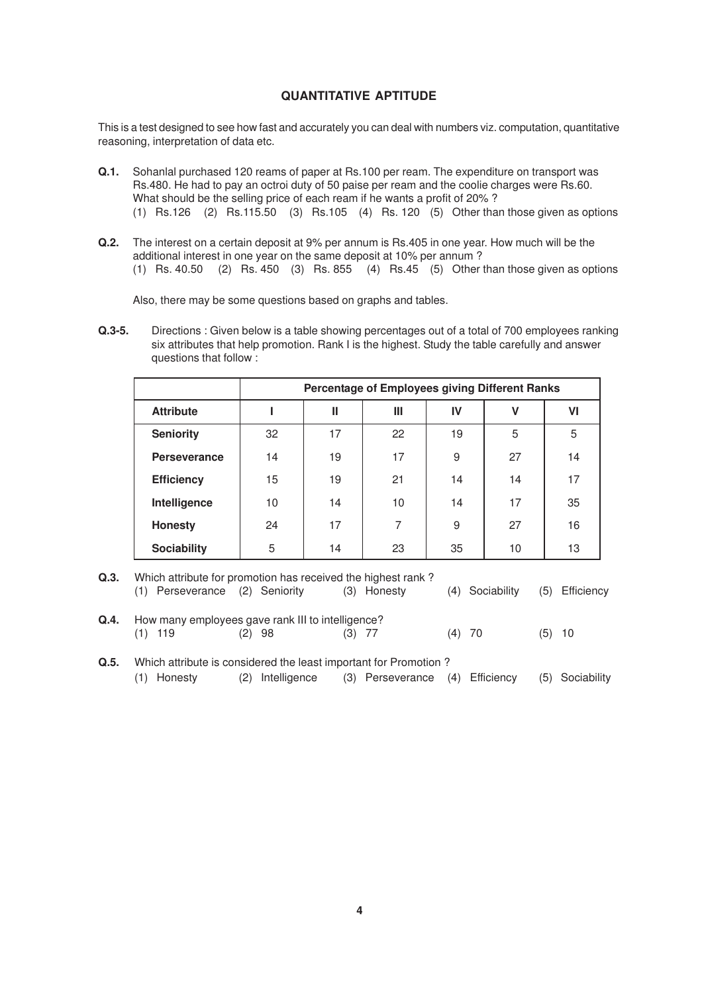## **QUANTITATIVE APTITUDE**

This is a test designed to see how fast and accurately you can deal with numbers viz. computation, quantitative reasoning, interpretation of data etc.

- **Q.1.** Sohanlal purchased 120 reams of paper at Rs.100 per ream. The expenditure on transport was Rs.480. He had to pay an octroi duty of 50 paise per ream and the coolie charges were Rs.60. What should be the selling price of each ream if he wants a profit of 20% ? (1) Rs.126 (2) Rs.115.50 (3) Rs.105 (4) Rs. 120 (5) Other than those given as options
- **Q.2.** The interest on a certain deposit at 9% per annum is Rs.405 in one year. How much will be the additional interest in one year on the same deposit at 10% per annum ?

(1) Rs. 40.50 (2) Rs. 450 (3) Rs. 855 (4) Rs.45 (5) Other than those given as options

Also, there may be some questions based on graphs and tables.

**Q.3-5.** Directions : Given below is a table showing percentages out of a total of 700 employees ranking six attributes that help promotion. Rank I is the highest. Study the table carefully and answer questions that follow :

|                     | Percentage of Employees giving Different Ranks |    |    |    |    |    |  |
|---------------------|------------------------------------------------|----|----|----|----|----|--|
| <b>Attribute</b>    |                                                | Ш  | Ш  | IV | v  | VI |  |
| <b>Seniority</b>    | 32                                             | 17 | 22 | 19 | 5  | 5  |  |
| <b>Perseverance</b> | 14                                             | 19 | 17 | 9  | 27 | 14 |  |
| <b>Efficiency</b>   | 15                                             | 19 | 21 | 14 | 14 | 17 |  |
| Intelligence        | 10                                             | 14 | 10 | 14 | 17 | 35 |  |
| <b>Honesty</b>      | 24                                             | 17 | 7  | 9  | 27 | 16 |  |
| <b>Sociability</b>  | 5                                              | 14 | 23 | 35 | 10 | 13 |  |

| Q.3. | Which attribute for promotion has received the highest rank? |        |             |                 |                |  |  |
|------|--------------------------------------------------------------|--------|-------------|-----------------|----------------|--|--|
|      | (1) Perseverance (2) Seniority                               |        | (3) Honesty | (4) Sociability | (5) Efficiency |  |  |
| Q.4. | How many employees gave rank III to intelligence?            |        |             |                 |                |  |  |
|      | - 119                                                        | (2) 98 | $(3)$ 77    | $(4)$ 70        | $(5)$ 10       |  |  |

**Q.5.** Which attribute is considered the least important for Promotion ? (1) Honesty (2) Intelligence (3) Perseverance (4) Efficiency (5) Sociability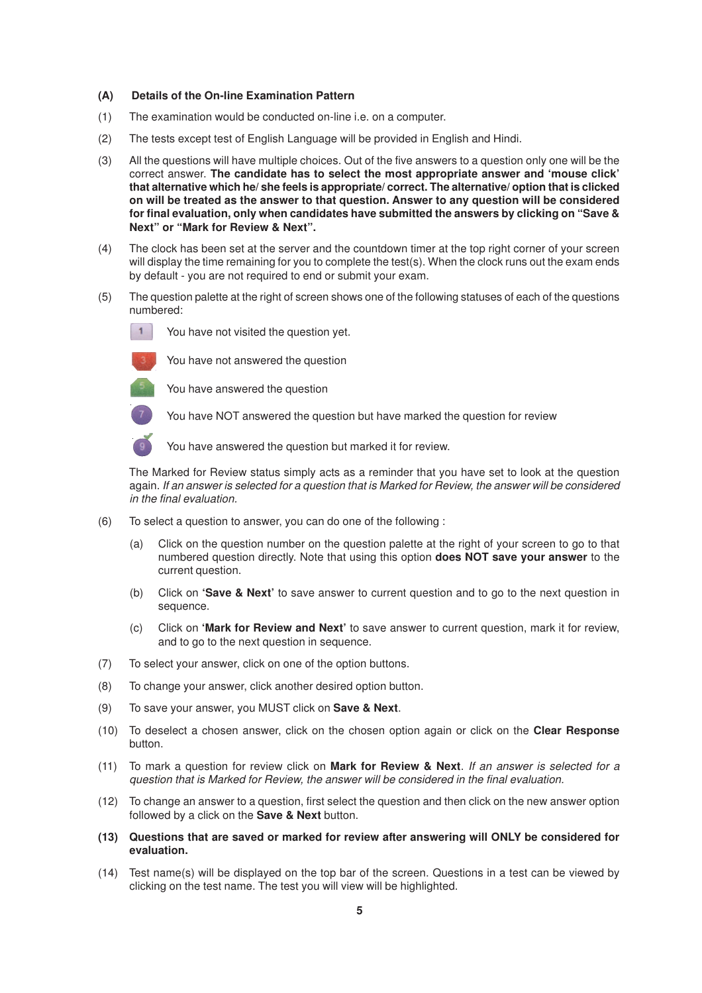## **(A) Details of the On-line Examination Pattern**

- (1) The examination would be conducted on-line i.e. on a computer.
- (2) The tests except test of English Language will be provided in English and Hindi.
- (3) All the questions will have multiple choices. Out of the five answers to a question only one will be the correct answer. **The candidate has to select the most appropriate answer and 'mouse click' that alternative which he/ she feels is appropriate/ correct. The alternative/ option that is clicked on will be treated as the answer to that question. Answer to any question will be considered for final evaluation, only when candidates have submitted the answers by clicking on "Save & Next" or "Mark for Review & Next".**
- (4) The clock has been set at the server and the countdown timer at the top right corner of your screen will display the time remaining for you to complete the test(s). When the clock runs out the exam ends by default - you are not required to end or submit your exam.
- (5) The question palette at the right of screen shows one of the following statuses of each of the questions numbered:

 $1$ You have not visited the question yet.



You have not answered the question



You have answered the question

You have answered the question but marked it for review.

The Marked for Review status simply acts as a reminder that you have set to look at the question again. If an answer is selected for a question that is Marked for Review, the answer will be considered in the final evaluation.

You have NOT answered the question but have marked the question for review

- (6) To select a question to answer, you can do one of the following :
	- (a) Click on the question number on the question palette at the right of your screen to go to that numbered question directly. Note that using this option **does NOT save your answer** to the current question.
	- (b) Click on **'Save & Next'** to save answer to current question and to go to the next question in sequence.
	- (c) Click on **'Mark for Review and Next'** to save answer to current question, mark it for review, and to go to the next question in sequence.
- (7) To select your answer, click on one of the option buttons.
- (8) To change your answer, click another desired option button.
- (9) To save your answer, you MUST click on **Save & Next**.
- (10) To deselect a chosen answer, click on the chosen option again or click on the **Clear Response** button.
- (11) To mark a question for review click on **Mark for Review & Next**. If an answer is selected for a question that is Marked for Review, the answer will be considered in the final evaluation.
- (12) To change an answer to a question, first select the question and then click on the new answer option followed by a click on the **Save & Next** button.
- **(13) Questions that are saved or marked for review after answering will ONLY be considered for evaluation.**
- (14) Test name(s) will be displayed on the top bar of the screen. Questions in a test can be viewed by clicking on the test name. The test you will view will be highlighted.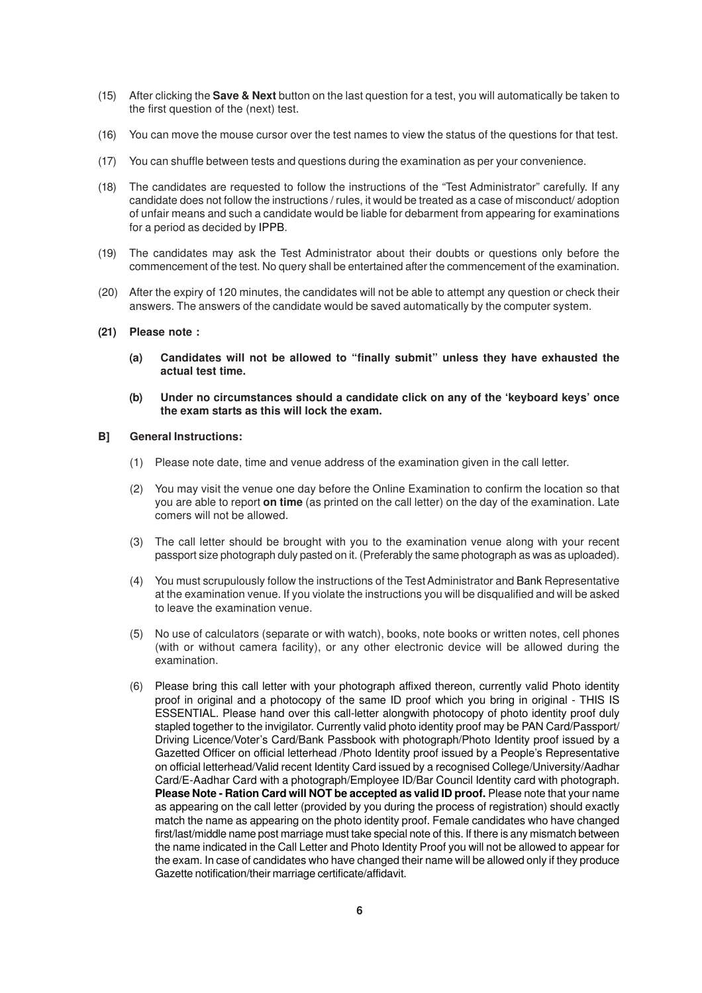- (15) After clicking the **Save & Next** button on the last question for a test, you will automatically be taken to the first question of the (next) test.
- (16) You can move the mouse cursor over the test names to view the status of the questions for that test.
- (17) You can shuffle between tests and questions during the examination as per your convenience.
- (18) The candidates are requested to follow the instructions of the "Test Administrator" carefully. If any candidate does not follow the instructions / rules, it would be treated as a case of misconduct/ adoption of unfair means and such a candidate would be liable for debarment from appearing for examinations for a period as decided by IPPB.
- (19) The candidates may ask the Test Administrator about their doubts or questions only before the commencement of the test. No query shall be entertained after the commencement of the examination.
- (20) After the expiry of 120 minutes, the candidates will not be able to attempt any question or check their answers. The answers of the candidate would be saved automatically by the computer system.
- **(21) Please note :**
	- **(a) Candidates will not be allowed to "finally submit" unless they have exhausted the actual test time.**
	- **(b) Under no circumstances should a candidate click on any of the 'keyboard keys' once the exam starts as this will lock the exam.**

#### **B] General Instructions:**

- (1) Please note date, time and venue address of the examination given in the call letter.
- (2) You may visit the venue one day before the Online Examination to confirm the location so that you are able to report **on time** (as printed on the call letter) on the day of the examination. Late comers will not be allowed.
- (3) The call letter should be brought with you to the examination venue along with your recent passport size photograph duly pasted on it. (Preferably the same photograph as was as uploaded).
- (4) You must scrupulously follow the instructions of the Test Administrator and Bank Representative at the examination venue. If you violate the instructions you will be disqualified and will be asked to leave the examination venue.
- (5) No use of calculators (separate or with watch), books, note books or written notes, cell phones (with or without camera facility), or any other electronic device will be allowed during the examination.
- (6) Please bring this call letter with your photograph affixed thereon, currently valid Photo identity proof in original and a photocopy of the same ID proof which you bring in original - THIS IS ESSENTIAL. Please hand over this call-letter alongwith photocopy of photo identity proof duly stapled together to the invigilator. Currently valid photo identity proof may be PAN Card/Passport/ Driving Licence/Voter's Card/Bank Passbook with photograph/Photo Identity proof issued by a Gazetted Officer on official letterhead /Photo Identity proof issued by a People's Representative on official letterhead/Valid recent Identity Card issued by a recognised College/University/Aadhar Card/E-Aadhar Card with a photograph/Employee ID/Bar Council Identity card with photograph. **Please Note - Ration Card will NOT be accepted as valid ID proof.** Please note that your name as appearing on the call letter (provided by you during the process of registration) should exactly match the name as appearing on the photo identity proof. Female candidates who have changed first/last/middle name post marriage must take special note of this. If there is any mismatch between the name indicated in the Call Letter and Photo Identity Proof you will not be allowed to appear for the exam. In case of candidates who have changed their name will be allowed only if they produce Gazette notification/their marriage certificate/affidavit.